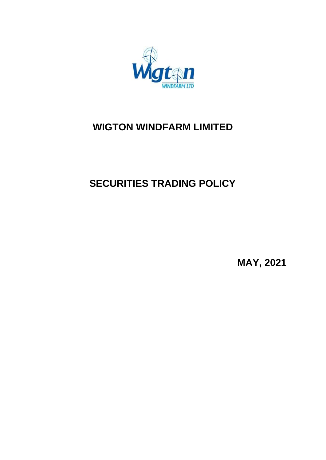

## **WIGTON WINDFARM LIMITED**

# **SECURITIES TRADING POLICY**

**MAY, 2021**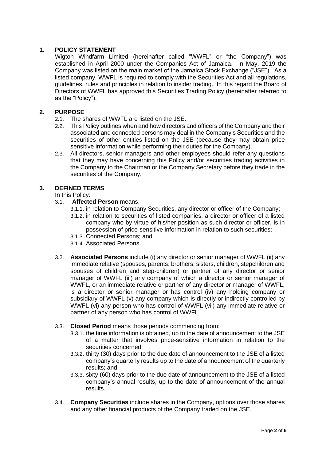## **1. POLICY STATEMENT**

Wigton Windfarm Limited (hereinafter called "WWFL" or "the Company") was established in April 2000 under the Companies Act of Jamaica. In May, 2019 the Company was listed on the main market of the Jamaica Stock Exchange ("JSE"). As a listed company, WWFL is required to comply with the Securities Act and all regulations, guidelines, rules and principles in relation to insider trading. In this regard the Board of Directors of WWFL has approved this Securities Trading Policy (hereinafter referred to as the "Policy").

## **2. PURPOSE**

- 2.1. The shares of WWFL are listed on the JSE.
- 2.2. This Policy outlines when and how directors and officers of the Company and their associated and connected persons may deal in the Company's Securities and the securities of other entities listed on the JSE (because they may obtain price sensitive information while performing their duties for the Company).
- 2.3. All directors, senior managers and other employees should refer any questions that they may have concerning this Policy and/or securities trading activities in the Company to the Chairman or the Company Secretary before they trade in the securities of the Company.

## **3. DEFINED TERMS**

In this Policy:

- 3.1. **Affected Person** means,
	- 3.1.1. in relation to Company Securities, any director or officer of the Company;
	- 3.1.2. in relation to securities of listed companies, a director or officer of a listed company who by virtue of his/her position as such director or officer, is in possession of price-sensitive information in relation to such securities;
	- 3.1.3. Connected Persons; and
	- 3.1.4. Associated Persons.
- 3.2. **Associated Persons** include (i) any director or senior manager of WWFL (ii) any immediate relative (spouses, parents, brothers, sisters, children, stepchildren and spouses of children and step-children) or partner of any director or senior manager of WWFL (iii) any company of which a director or senior manager of WWFL, or an immediate relative or partner of any director or manager of WWFL, is a director or senior manager or has control (iv) any holding company or subsidiary of WWFL (v) any company which is directly or indirectly controlled by WWFL (vi) any person who has control of WWFL (vii) any immediate relative or partner of any person who has control of WWFL.

## 3.3. **Closed Period** means those periods commencing from:

- 3.3.1. the time information is obtained, up to the date of announcement to the JSE of a matter that involves price-sensitive information in relation to the securities concerned;
- 3.3.2. thirty (30) days prior to the due date of announcement to the JSE of a listed company's quarterly results up to the date of announcement of the quarterly results; and
- 3.3.3. sixty (60) days prior to the due date of announcement to the JSE of a listed company's annual results, up to the date of announcement of the annual results.
- 3.4. **Company Securities** include shares in the Company, options over those shares and any other financial products of the Company traded on the JSE.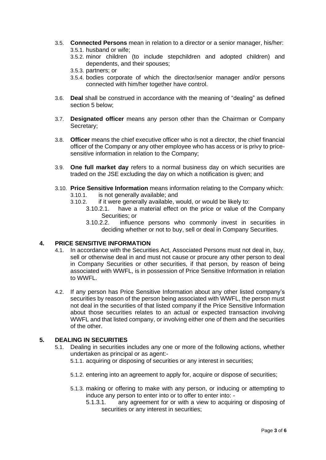- 3.5. **Connected Persons** mean in relation to a director or a senior manager, his/her: 3.5.1. husband or wife;
	- 3.5.2. minor children (to include stepchildren and adopted children) and dependents, and their spouses;
	- 3.5.3. partners; or
	- 3.5.4. bodies corporate of which the director/senior manager and/or persons connected with him/her together have control.
- 3.6. **Deal** shall be construed in accordance with the meaning of "dealing" as defined section 5 below;
- 3.7. **Designated officer** means any person other than the Chairman or Company Secretary;
- 3.8. **Officer** means the chief executive officer who is not a director, the chief financial officer of the Company or any other employee who has access or is privy to pricesensitive information in relation to the Company;
- 3.9. **One full market day** refers to a normal business day on which securities are traded on the JSE excluding the day on which a notification is given; and
- 3.10. **Price Sensitive Information** means information relating to the Company which: 3.10.1. is not generally available; and
	- 3.10.2. if it were generally available, would, or would be likely to:
		- 3.10.2.1. have a material effect on the price or value of the Company Securities; or
		- 3.10.2.2. influence persons who commonly invest in securities in deciding whether or not to buy, sell or deal in Company Securities.

## **4. PRICE SENSITIVE INFORMATION**

- 4.1. In accordance with the Securities Act, Associated Persons must not deal in, buy, sell or otherwise deal in and must not cause or procure any other person to deal in Company Securities or other securities, if that person, by reason of being associated with WWFL, is in possession of Price Sensitive Information in relation to WWFL.
- 4.2. If any person has Price Sensitive Information about any other listed company's securities by reason of the person being associated with WWFL, the person must not deal in the securities of that listed company if the Price Sensitive Information about those securities relates to an actual or expected transaction involving WWFL and that listed company, or involving either one of them and the securities of the other.

## **5. DEALING IN SECURITIES**

- 5.1. Dealing in securities includes any one or more of the following actions, whether undertaken as principal or as agent:-
	- 5.1.1. acquiring or disposing of securities or any interest in securities;
	- 5.1.2. entering into an agreement to apply for, acquire or dispose of securities;
	- 5.1.3. making or offering to make with any person, or inducing or attempting to induce any person to enter into or to offer to enter into: -
		- 5.1.3.1. any agreement for or with a view to acquiring or disposing of securities or any interest in securities;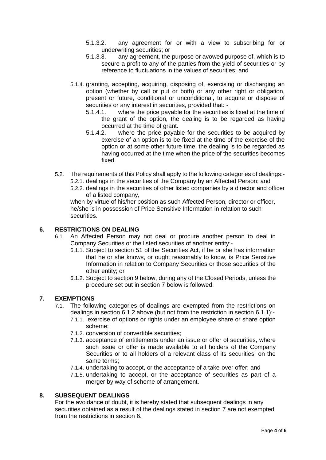- 5.1.3.2. any agreement for or with a view to subscribing for or underwriting securities; or
- 5.1.3.3. any agreement, the purpose or avowed purpose of, which is to secure a profit to any of the parties from the yield of securities or by reference to fluctuations in the values of securities; and
- 5.1.4. granting, accepting, acquiring, disposing of, exercising or discharging an option (whether by call or put or both) or any other right or obligation, present or future, conditional or unconditional, to acquire or dispose of securities or any interest in securities, provided that: -
	- 5.1.4.1. where the price payable for the securities is fixed at the time of the grant of the option, the dealing is to be regarded as having occurred at the time of grant.
	- 5.1.4.2. where the price payable for the securities to be acquired by exercise of an option is to be fixed at the time of the exercise of the option or at some other future time, the dealing is to be regarded as having occurred at the time when the price of the securities becomes fixed.
- 5.2. The requirements of this Policy shall apply to the following categories of dealings:- 5.2.1. dealings in the securities of the Company by an Affected Person; and
	- 5.2.2. dealings in the securities of other listed companies by a director and officer of a listed company,

when by virtue of his/her position as such Affected Person, director or officer, he/she is in possession of Price Sensitive Information in relation to such securities.

## **6. RESTRICTIONS ON DEALING**

- 6.1. An Affected Person may not deal or procure another person to deal in Company Securities or the listed securities of another entity:-
	- 6.1.1. Subject to section 51 of the Securities Act, if he or she has information that he or she knows, or ought reasonably to know, is Price Sensitive Information in relation to Company Securities or those securities of the other entity; or
	- 6.1.2. Subject to section 9 below, during any of the Closed Periods, unless the procedure set out in section 7 below is followed.

#### **7. EXEMPTIONS**

- 7.1. The following categories of dealings are exempted from the restrictions on dealings in section 6.1.2 above (but not from the restriction in section 6.1.1):-
	- 7.1.1. exercise of options or rights under an employee share or share option scheme;
	- 7.1.2. conversion of convertible securities;
	- 7.1.3. acceptance of entitlements under an issue or offer of securities, where such issue or offer is made available to all holders of the Company Securities or to all holders of a relevant class of its securities, on the same terms;
	- 7.1.4. undertaking to accept, or the acceptance of a take-over offer; and
	- 7.1.5. undertaking to accept, or the acceptance of securities as part of a merger by way of scheme of arrangement.

## **8. SUBSEQUENT DEALINGS**

For the avoidance of doubt, it is hereby stated that subsequent dealings in any securities obtained as a result of the dealings stated in section 7 are not exempted from the restrictions in section 6.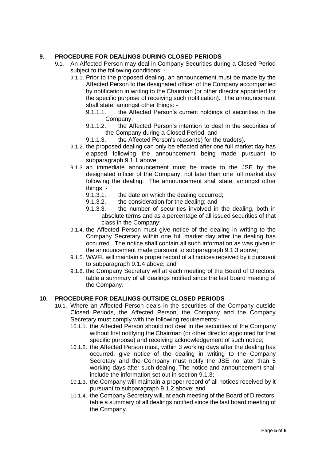## **9. PROCEDURE FOR DEALINGS DURING CLOSED PERIODS**

- 9.1. An Affected Person may deal in Company Securities during a Closed Period subject to the following conditions: -
	- 9.1.1. Prior to the proposed dealing, an announcement must be made by the Affected Person to the designated officer of the Company accompanied by notification in writing to the Chairman (or other director appointed for the specific purpose of receiving such notification). The announcement shall state, amongst other things: -
		- 9.1.1.1. the Affected Person's current holdings of securities in the Company;
		- 9.1.1.2. the Affected Person's intention to deal in the securities of the Company during a Closed Period; and
		- 9.1.1.3. the Affected Person's reason(s) for the trade(s).
	- 9.1.2. the proposed dealing can only be effected after one full market day has elapsed following the announcement being made pursuant to subparagraph 9.1.1 above;
	- 9.1.3. an immediate announcement must be made to the JSE by the designated officer of the Company, not later than one full market day following the dealing. The announcement shall state, amongst other things: -
		- 9.1.3.1. the date on which the dealing occurred;
		- 9.1.3.2. the consideration for the dealing; and
		- 9.1.3.3. the number of securities involved in the dealing, both in absolute terms and as a percentage of all issued securities of that class in the Company;
	- 9.1.4. the Affected Person must give notice of the dealing in writing to the Company Secretary within one full market day after the dealing has occurred. The notice shall contain all such information as was given in the announcement made pursuant to subparagraph 9.1.3 above;
	- 9.1.5. WWFL will maintain a proper record of all notices received by it pursuant to subparagraph 9.1.4 above; and
	- 9.1.6. the Company Secretary will at each meeting of the Board of Directors, table a summary of all dealings notified since the last board meeting of the Company.

## **10. PROCEDURE FOR DEALINGS OUTSIDE CLOSED PERIODS**

- 10.1. Where an Affected Person deals in the securities of the Company outside Closed Periods, the Affected Person, the Company and the Company Secretary must comply with the following requirements:-
	- 10.1.1. the Affected Person should not deal in the securities of the Company without first notifying the Chairman (or other director appointed for that specific purpose) and receiving acknowledgement of such notice;
	- 10.1.2. the Affected Person must, within 3 working days after the dealing has occurred, give notice of the dealing in writing to the Company Secretary and the Company must notify the JSE no later than 5 working days after such dealing. The notice and announcement shall include the information set out in section 9.1.3;
	- 10.1.3. the Company will maintain a proper record of all notices received by it pursuant to subparagraph 9.1.2 above; and
	- 10.1.4. the Company Secretary will, at each meeting of the Board of Directors, table a summary of all dealings notified since the last board meeting of the Company.